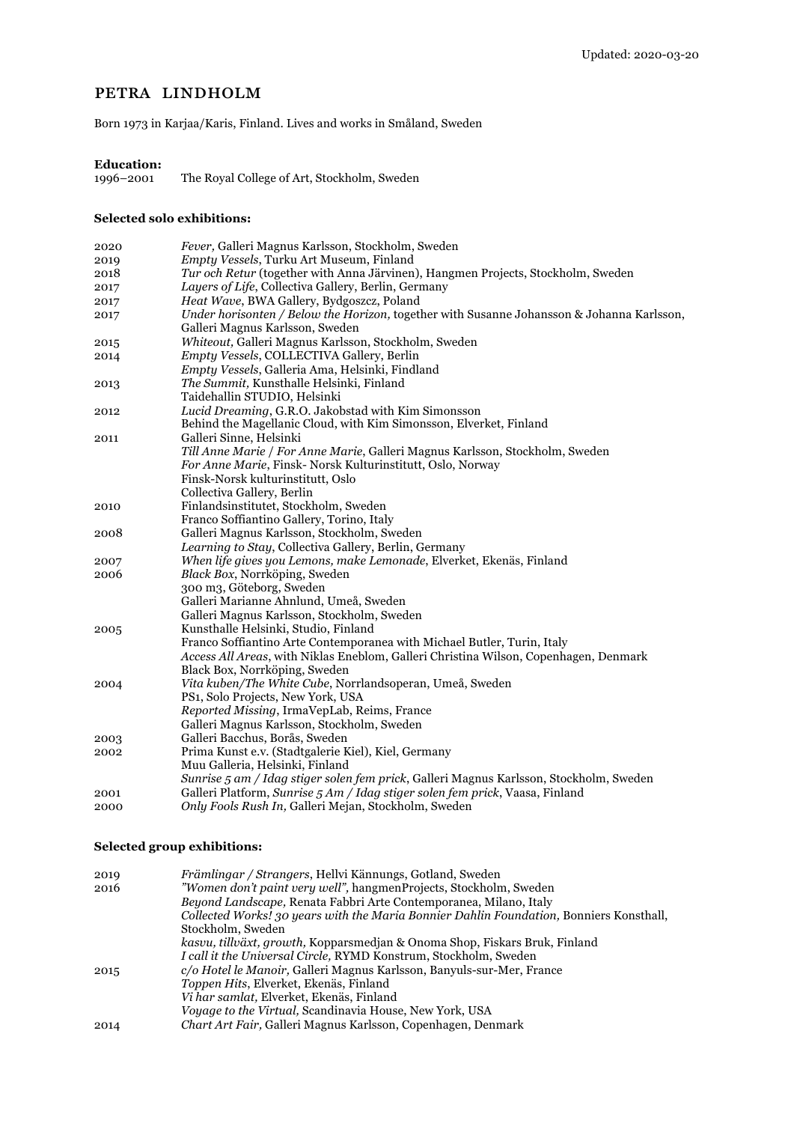## PETRA LINDHOLM

Born 1973 in Karjaa/Karis, Finland. Lives and works in Småland, Sweden

# **Education:**

The Royal College of Art, Stockholm, Sweden

### **Selected solo exhibitions:**

| 2020 | Fever, Galleri Magnus Karlsson, Stockholm, Sweden                                         |
|------|-------------------------------------------------------------------------------------------|
| 2019 | Empty Vessels, Turku Art Museum, Finland                                                  |
| 2018 | Tur och Retur (together with Anna Järvinen), Hangmen Projects, Stockholm, Sweden          |
| 2017 | Layers of Life, Collectiva Gallery, Berlin, Germany                                       |
| 2017 | Heat Wave, BWA Gallery, Bydgoszcz, Poland                                                 |
| 2017 | Under horisonten / Below the Horizon, together with Susanne Johansson & Johanna Karlsson, |
|      | Galleri Magnus Karlsson, Sweden                                                           |
| 2015 | Whiteout, Galleri Magnus Karlsson, Stockholm, Sweden                                      |
| 2014 | Empty Vessels, COLLECTIVA Gallery, Berlin                                                 |
|      | Empty Vessels, Galleria Ama, Helsinki, Findland                                           |
| 2013 | The Summit, Kunsthalle Helsinki, Finland                                                  |
|      | Taidehallin STUDIO, Helsinki                                                              |
| 2012 | Lucid Dreaming, G.R.O. Jakobstad with Kim Simonsson                                       |
|      | Behind the Magellanic Cloud, with Kim Simonsson, Elverket, Finland                        |
| 2011 | Galleri Sinne, Helsinki                                                                   |
|      | Till Anne Marie / For Anne Marie, Galleri Magnus Karlsson, Stockholm, Sweden              |
|      | For Anne Marie, Finsk- Norsk Kulturinstitutt, Oslo, Norway                                |
|      | Finsk-Norsk kulturinstitutt, Oslo                                                         |
|      | Collectiva Gallery, Berlin                                                                |
| 2010 | Finlandsinstitutet, Stockholm, Sweden                                                     |
|      | Franco Soffiantino Gallery, Torino, Italy                                                 |
| 2008 | Galleri Magnus Karlsson, Stockholm, Sweden                                                |
|      | Learning to Stay, Collectiva Gallery, Berlin, Germany                                     |
| 2007 | When life gives you Lemons, make Lemonade, Elverket, Ekenäs, Finland                      |
| 2006 | Black Box, Norrköping, Sweden                                                             |
|      | 300 m3, Göteborg, Sweden                                                                  |
|      | Galleri Marianne Ahnlund, Umeå, Sweden                                                    |
|      | Galleri Magnus Karlsson, Stockholm, Sweden                                                |
| 2005 | Kunsthalle Helsinki, Studio, Finland                                                      |
|      | Franco Soffiantino Arte Contemporanea with Michael Butler, Turin, Italy                   |
|      | Access All Areas, with Niklas Eneblom, Galleri Christina Wilson, Copenhagen, Denmark      |
|      | Black Box, Norrköping, Sweden                                                             |
| 2004 | Vita kuben/The White Cube, Norrlandsoperan, Umeå, Sweden                                  |
|      | PS1, Solo Projects, New York, USA                                                         |
|      | Reported Missing, IrmaVepLab, Reims, France                                               |
|      | Galleri Magnus Karlsson, Stockholm, Sweden                                                |
| 2003 | Galleri Bacchus, Borås, Sweden                                                            |
| 2002 | Prima Kunst e.v. (Stadtgalerie Kiel), Kiel, Germany                                       |
|      | Muu Galleria, Helsinki, Finland                                                           |
|      | Sunrise 5 am / Idag stiger solen fem prick, Galleri Magnus Karlsson, Stockholm, Sweden    |
| 2001 | Galleri Platform, Sunrise 5 Am / Idag stiger solen fem prick, Vaasa, Finland              |
| 2000 | Only Fools Rush In, Galleri Mejan, Stockholm, Sweden                                      |

## **Selected group exhibitions:**

| 2019 | Främlingar / Strangers, Hellvi Kännungs, Gotland, Sweden                                |
|------|-----------------------------------------------------------------------------------------|
| 2016 | "Women don't paint very well", hangmenProjects, Stockholm, Sweden                       |
|      | Beyond Landscape, Renata Fabbri Arte Contemporanea, Milano, Italy                       |
|      | Collected Works! 30 years with the Maria Bonnier Dahlin Foundation, Bonniers Konsthall, |
|      | Stockholm, Sweden                                                                       |
|      | kasvu, tillväxt, growth, Kopparsmedjan & Onoma Shop, Fiskars Bruk, Finland              |
|      | I call it the Universal Circle, RYMD Konstrum, Stockholm, Sweden                        |
| 2015 | c/o Hotel le Manoir, Galleri Magnus Karlsson, Banyuls-sur-Mer, France                   |
|      | Toppen Hits, Elverket, Ekenäs, Finland                                                  |
|      | Vi har samlat, Elverket, Ekenäs, Finland                                                |
|      | <i>Voyage to the Virtual, Scandinavia House, New York, USA</i>                          |
| 2014 | Chart Art Fair, Galleri Magnus Karlsson, Copenhagen, Denmark                            |
|      |                                                                                         |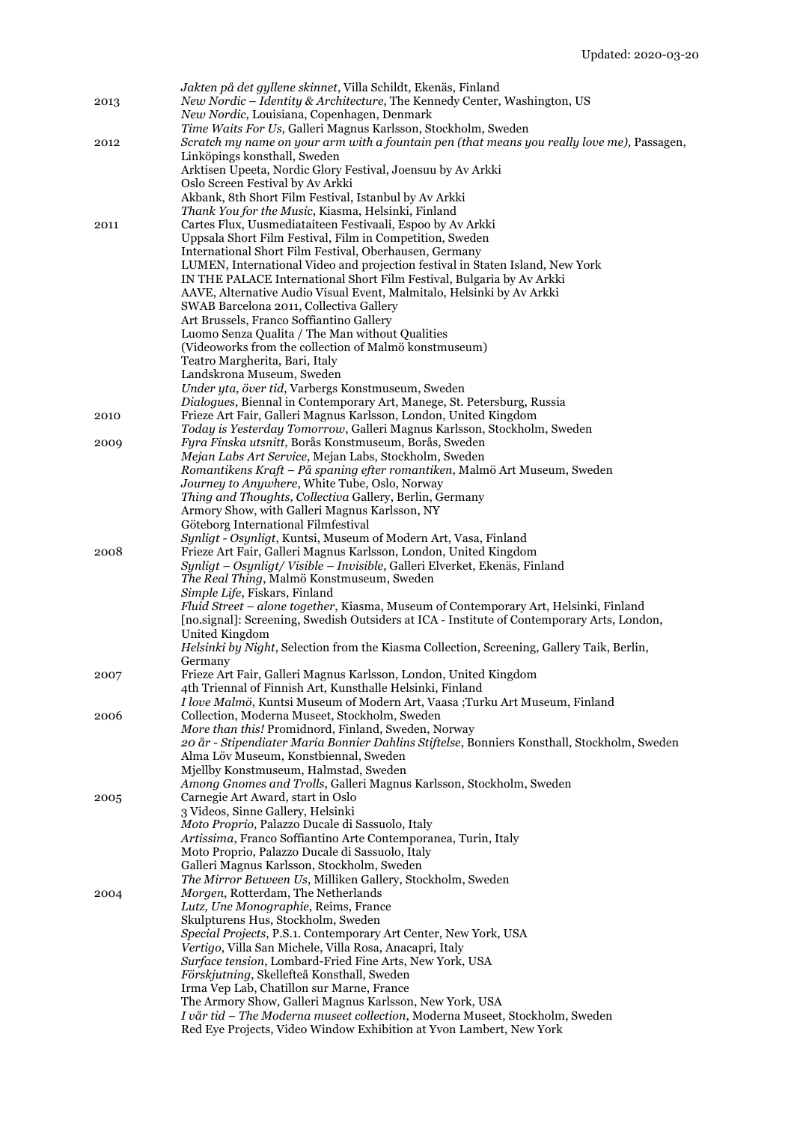| 2013 | Jakten på det gyllene skinnet, Villa Schildt, Ekenäs, Finland<br>New Nordic - Identity & Architecture, The Kennedy Center, Washington, US<br>New Nordic, Louisiana, Copenhagen, Denmark |
|------|-----------------------------------------------------------------------------------------------------------------------------------------------------------------------------------------|
| 2012 | Time Waits For Us, Galleri Magnus Karlsson, Stockholm, Sweden<br>Scratch my name on your arm with a fountain pen (that means you really love me), Passagen,                             |
|      | Linköpings konsthall, Sweden<br>Arktisen Upeeta, Nordic Glory Festival, Joensuu by Av Arkki                                                                                             |
|      | Oslo Screen Festival by Av Arkki                                                                                                                                                        |
|      | Akbank, 8th Short Film Festival, Istanbul by Av Arkki<br>Thank You for the Music, Kiasma, Helsinki, Finland                                                                             |
| 2011 | Cartes Flux, Uusmediataiteen Festivaali, Espoo by Av Arkki                                                                                                                              |
|      | Uppsala Short Film Festival, Film in Competition, Sweden<br>International Short Film Festival, Oberhausen, Germany                                                                      |
|      | LUMEN, International Video and projection festival in Staten Island, New York                                                                                                           |
|      | IN THE PALACE International Short Film Festival, Bulgaria by Av Arkki<br>AAVE, Alternative Audio Visual Event, Malmitalo, Helsinki by Av Arkki                                          |
|      | SWAB Barcelona 2011, Collectiva Gallery                                                                                                                                                 |
|      | Art Brussels, Franco Soffiantino Gallery<br>Luomo Senza Qualita / The Man without Qualities                                                                                             |
|      | (Videoworks from the collection of Malmö konstmuseum)<br>Teatro Margherita, Bari, Italy                                                                                                 |
|      | Landskrona Museum, Sweden                                                                                                                                                               |
|      | Under yta, över tid, Varbergs Konstmuseum, Sweden<br>Dialogues, Biennal in Contemporary Art, Manege, St. Petersburg, Russia                                                             |
| 2010 | Frieze Art Fair, Galleri Magnus Karlsson, London, United Kingdom                                                                                                                        |
| 2009 | Today is Yesterday Tomorrow, Galleri Magnus Karlsson, Stockholm, Sweden<br>Fyra Finska utsnitt, Borås Konstmuseum, Borås, Sweden                                                        |
|      | Mejan Labs Art Service, Mejan Labs, Stockholm, Sweden<br>Romantikens Kraft - På spaning efter romantiken, Malmö Art Museum, Sweden                                                      |
|      | Journey to Anywhere, White Tube, Oslo, Norway                                                                                                                                           |
|      | Thing and Thoughts, Collectiva Gallery, Berlin, Germany<br>Armory Show, with Galleri Magnus Karlsson, NY                                                                                |
|      | Göteborg International Filmfestival                                                                                                                                                     |
| 2008 | Synligt - Osynligt, Kuntsi, Museum of Modern Art, Vasa, Finland<br>Frieze Art Fair, Galleri Magnus Karlsson, London, United Kingdom                                                     |
|      | Synligt – Osynligt/Visible – Invisible, Galleri Elverket, Ekenäs, Finland<br>The Real Thing, Malmö Konstmuseum, Sweden                                                                  |
|      | Simple Life, Fiskars, Finland                                                                                                                                                           |
|      | Fluid Street - alone together, Kiasma, Museum of Contemporary Art, Helsinki, Finland<br>[no.signal]: Screening, Swedish Outsiders at ICA - Institute of Contemporary Arts, London,      |
|      | United Kingdom                                                                                                                                                                          |
|      | Helsinki by Night, Selection from the Kiasma Collection, Screening, Gallery Taik, Berlin,<br>Germany                                                                                    |
| 2007 | Frieze Art Fair, Galleri Magnus Karlsson, London, United Kingdom<br>4th Triennal of Finnish Art, Kunsthalle Helsinki, Finland                                                           |
|      | I love Malmö, Kuntsi Museum of Modern Art, Vaasa ;Turku Art Museum, Finland                                                                                                             |
| 2006 | Collection, Moderna Museet, Stockholm, Sweden<br>More than this! Promidnord, Finland, Sweden, Norway                                                                                    |
|      | 20 år - Stipendiater Maria Bonnier Dahlins Stiftelse, Bonniers Konsthall, Stockholm, Sweden<br>Alma Löv Museum, Konstbiennal, Sweden                                                    |
|      | Mjellby Konstmuseum, Halmstad, Sweden                                                                                                                                                   |
| 2005 | Among Gnomes and Trolls, Galleri Magnus Karlsson, Stockholm, Sweden<br>Carnegie Art Award, start in Oslo                                                                                |
|      | 3 Videos, Sinne Gallery, Helsinki                                                                                                                                                       |
|      | Moto Proprio, Palazzo Ducale di Sassuolo, Italy<br>Artissima, Franco Soffiantino Arte Contemporanea, Turin, Italy                                                                       |
|      | Moto Proprio, Palazzo Ducale di Sassuolo, Italy                                                                                                                                         |
|      | Galleri Magnus Karlsson, Stockholm, Sweden<br>The Mirror Between Us, Milliken Gallery, Stockholm, Sweden                                                                                |
| 2004 | Morgen, Rotterdam, The Netherlands<br>Lutz, Une Monographie, Reims, France                                                                                                              |
|      | Skulpturens Hus, Stockholm, Sweden                                                                                                                                                      |
|      | Special Projects, P.S.1. Contemporary Art Center, New York, USA<br>Vertigo, Villa San Michele, Villa Rosa, Anacapri, Italy                                                              |
|      | Surface tension, Lombard-Fried Fine Arts, New York, USA                                                                                                                                 |
|      | Förskjutning, Skellefteå Konsthall, Sweden<br>Irma Vep Lab, Chatillon sur Marne, France                                                                                                 |
|      | The Armory Show, Galleri Magnus Karlsson, New York, USA<br>I vår tid - The Moderna museet collection, Moderna Museet, Stockholm, Sweden                                                 |
|      | Red Eye Projects, Video Window Exhibition at Yvon Lambert, New York                                                                                                                     |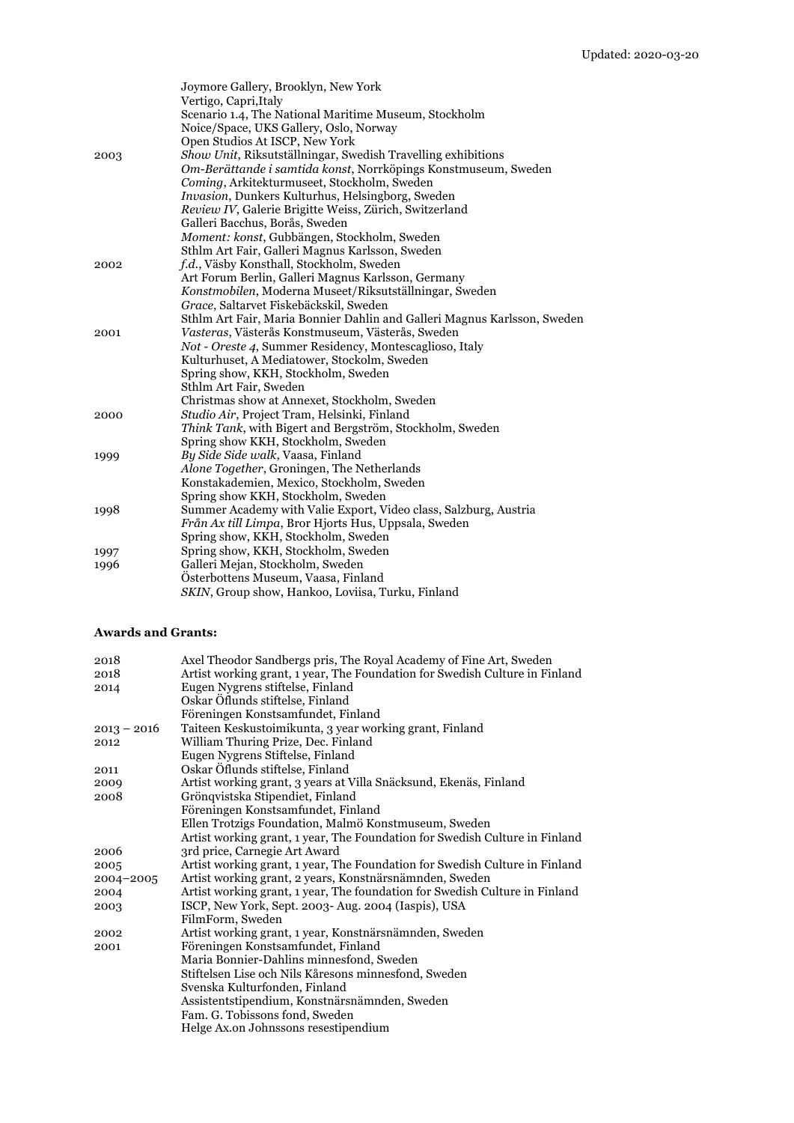|      | Joymore Gallery, Brooklyn, New York                                      |
|------|--------------------------------------------------------------------------|
|      | Vertigo, Capri, Italy                                                    |
|      | Scenario 1.4, The National Maritime Museum, Stockholm                    |
|      | Noice/Space, UKS Gallery, Oslo, Norway                                   |
|      | Open Studios At ISCP, New York                                           |
| 2003 | Show Unit, Riksutställningar, Swedish Travelling exhibitions             |
|      | Om-Berättande i samtida konst, Norrköpings Konstmuseum, Sweden           |
|      | Coming, Arkitekturmuseet, Stockholm, Sweden                              |
|      | <i>Invasion</i> , Dunkers Kulturhus, Helsingborg, Sweden                 |
|      | Review IV, Galerie Brigitte Weiss, Zürich, Switzerland                   |
|      | Galleri Bacchus, Borås, Sweden                                           |
|      | Moment: konst, Gubbängen, Stockholm, Sweden                              |
|      | Sthlm Art Fair, Galleri Magnus Karlsson, Sweden                          |
| 2002 | f.d., Väsby Konsthall, Stockholm, Sweden                                 |
|      | Art Forum Berlin, Galleri Magnus Karlsson, Germany                       |
|      | Konstmobilen, Moderna Museet/Riksutställningar, Sweden                   |
|      | Grace, Saltarvet Fiskebäckskil, Sweden                                   |
|      | Sthlm Art Fair, Maria Bonnier Dahlin and Galleri Magnus Karlsson, Sweden |
| 2001 | Vasteras, Västerås Konstmuseum, Västerås, Sweden                         |
|      | Not - Oreste 4, Summer Residency, Montescaglioso, Italy                  |
|      | Kulturhuset, A Mediatower, Stockolm, Sweden                              |
|      | Spring show, KKH, Stockholm, Sweden                                      |
|      | Sthlm Art Fair, Sweden                                                   |
|      | Christmas show at Annexet, Stockholm, Sweden                             |
| 2000 | Studio Air, Project Tram, Helsinki, Finland                              |
|      | Think Tank, with Bigert and Bergström, Stockholm, Sweden                 |
|      | Spring show KKH, Stockholm, Sweden                                       |
| 1999 | By Side Side walk, Vaasa, Finland                                        |
|      | Alone Together, Groningen, The Netherlands                               |
|      | Konstakademien, Mexico, Stockholm, Sweden                                |
|      | Spring show KKH, Stockholm, Sweden                                       |
| 1998 | Summer Academy with Valie Export, Video class, Salzburg, Austria         |
|      | <i>Från Ax till Limpa</i> , Bror Hjorts Hus, Uppsala, Sweden             |
|      | Spring show, KKH, Stockholm, Sweden                                      |
| 1997 | Spring show, KKH, Stockholm, Sweden                                      |
| 1996 | Galleri Mejan, Stockholm, Sweden                                         |
|      | Österbottens Museum, Vaasa, Finland                                      |
|      | SKIN, Group show, Hankoo, Loviisa, Turku, Finland                        |

#### **Awards and Grants:**

| 2018          | Axel Theodor Sandbergs pris, The Royal Academy of Fine Art, Sweden          |
|---------------|-----------------------------------------------------------------------------|
| 2018          | Artist working grant, 1 year, The Foundation for Swedish Culture in Finland |
| 2014          | Eugen Nygrens stiftelse, Finland                                            |
|               | Oskar Öflunds stiftelse, Finland                                            |
|               | Föreningen Konstsamfundet, Finland                                          |
| $2013 - 2016$ | Taiteen Keskustoimikunta, 3 year working grant, Finland                     |
| 2012          | William Thuring Prize, Dec. Finland                                         |
|               | Eugen Nygrens Stiftelse, Finland                                            |
| 2011          | Oskar Öflunds stiftelse, Finland                                            |
| 2009          | Artist working grant, 3 years at Villa Snäcksund, Ekenäs, Finland           |
| 2008          | Grönqvistska Stipendiet, Finland                                            |
|               | Föreningen Konstsamfundet, Finland                                          |
|               | Ellen Trotzigs Foundation, Malmö Konstmuseum, Sweden                        |
|               | Artist working grant, 1 year, The Foundation for Swedish Culture in Finland |
| 2006          | 3rd price, Carnegie Art Award                                               |
| 2005          | Artist working grant, 1 year, The Foundation for Swedish Culture in Finland |
| $2004 - 2005$ | Artist working grant, 2 years, Konstnärsnämnden, Sweden                     |
| 2004          | Artist working grant, 1 year, The foundation for Swedish Culture in Finland |
| 2003          | ISCP, New York, Sept. 2003- Aug. 2004 (Iaspis), USA                         |
|               | FilmForm, Sweden                                                            |
| 2002          | Artist working grant, 1 year, Konstnärsnämnden, Sweden                      |
| 2001          | Föreningen Konstsamfundet, Finland                                          |
|               | Maria Bonnier-Dahlins minnesfond, Sweden                                    |
|               | Stiftelsen Lise och Nils Kåresons minnesfond, Sweden                        |
|               | Svenska Kulturfonden, Finland                                               |
|               | Assistentstipendium, Konstnärsnämnden, Sweden                               |
|               | Fam. G. Tobissons fond, Sweden                                              |
|               | Helge Ax.on Johnssons resestipendium                                        |
|               |                                                                             |